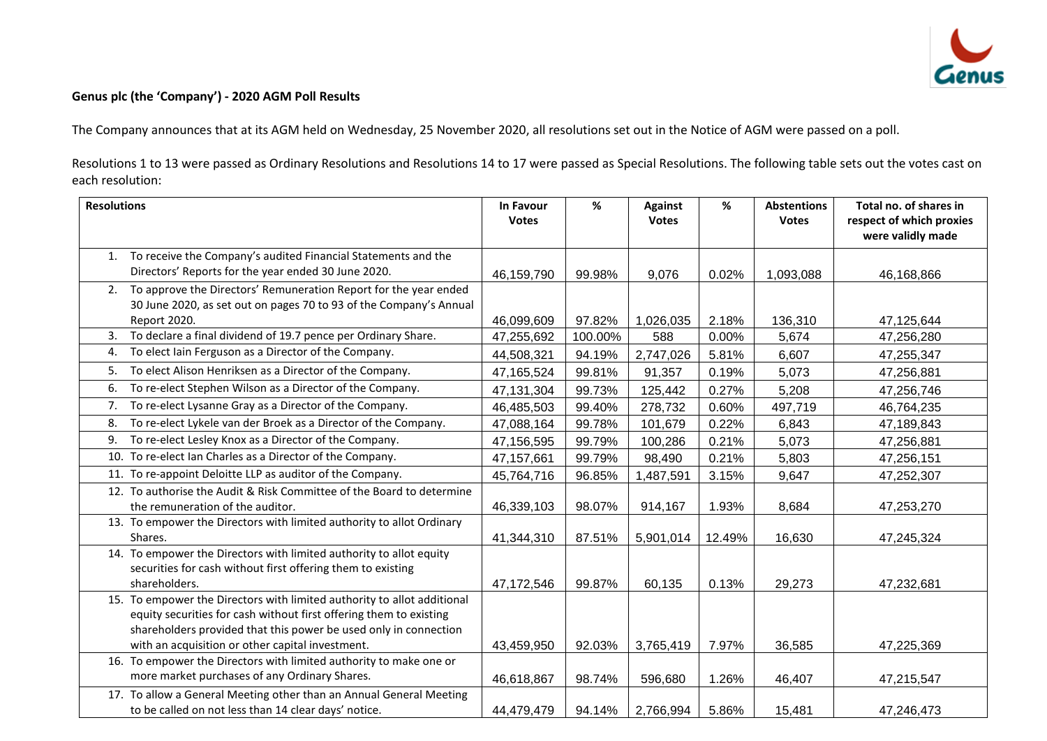

## **Genus plc (the 'Company') - 2020 AGM Poll Results**

The Company announces that at its AGM held on Wednesday, 25 November 2020, all resolutions set out in the Notice of AGM were passed on a poll.

Resolutions 1 to 13 were passed as Ordinary Resolutions and Resolutions 14 to 17 were passed as Special Resolutions. The following table sets out the votes cast on each resolution:

| <b>Resolutions</b>                                                      | In Favour    | %       | <b>Against</b> | %      | <b>Abstentions</b> | Total no. of shares in   |
|-------------------------------------------------------------------------|--------------|---------|----------------|--------|--------------------|--------------------------|
|                                                                         | <b>Votes</b> |         | <b>Votes</b>   |        | <b>Votes</b>       | respect of which proxies |
|                                                                         |              |         |                |        |                    | were validly made        |
| To receive the Company's audited Financial Statements and the<br>1.     |              |         |                |        |                    |                          |
| Directors' Reports for the year ended 30 June 2020.                     | 46,159,790   | 99.98%  | 9,076          | 0.02%  | 1,093,088          | 46,168,866               |
| To approve the Directors' Remuneration Report for the year ended<br>2.  |              |         |                |        |                    |                          |
| 30 June 2020, as set out on pages 70 to 93 of the Company's Annual      |              |         |                |        |                    |                          |
| Report 2020.                                                            | 46,099,609   | 97.82%  | 1,026,035      | 2.18%  | 136,310            | 47,125,644               |
| To declare a final dividend of 19.7 pence per Ordinary Share.<br>3.     | 47,255,692   | 100.00% | 588            | 0.00%  | 5,674              | 47,256,280               |
| To elect Iain Ferguson as a Director of the Company.<br>4.              | 44,508,321   | 94.19%  | 2,747,026      | 5.81%  | 6,607              | 47,255,347               |
| To elect Alison Henriksen as a Director of the Company.<br>5.           | 47,165,524   | 99.81%  | 91,357         | 0.19%  | 5,073              | 47,256,881               |
| To re-elect Stephen Wilson as a Director of the Company.<br>6.          | 47,131,304   | 99.73%  | 125,442        | 0.27%  | 5,208              | 47,256,746               |
| To re-elect Lysanne Gray as a Director of the Company.<br>7.            | 46,485,503   | 99.40%  | 278,732        | 0.60%  | 497,719            | 46,764,235               |
| To re-elect Lykele van der Broek as a Director of the Company.<br>8.    | 47,088,164   | 99.78%  | 101,679        | 0.22%  | 6,843              | 47,189,843               |
| To re-elect Lesley Knox as a Director of the Company.<br>9.             | 47,156,595   | 99.79%  | 100,286        | 0.21%  | 5,073              | 47,256,881               |
| 10. To re-elect Ian Charles as a Director of the Company.               | 47, 157, 661 | 99.79%  | 98,490         | 0.21%  | 5,803              | 47,256,151               |
| 11. To re-appoint Deloitte LLP as auditor of the Company.               | 45,764,716   | 96.85%  | 1,487,591      | 3.15%  | 9,647              | 47,252,307               |
| 12. To authorise the Audit & Risk Committee of the Board to determine   |              |         |                |        |                    |                          |
| the remuneration of the auditor.                                        | 46,339,103   | 98.07%  | 914,167        | 1.93%  | 8,684              | 47,253,270               |
| 13. To empower the Directors with limited authority to allot Ordinary   |              |         |                |        |                    |                          |
| Shares.                                                                 | 41,344,310   | 87.51%  | 5,901,014      | 12.49% | 16,630             | 47,245,324               |
| 14. To empower the Directors with limited authority to allot equity     |              |         |                |        |                    |                          |
| securities for cash without first offering them to existing             |              |         |                |        |                    |                          |
| shareholders.                                                           | 47,172,546   | 99.87%  | 60,135         | 0.13%  | 29,273             | 47,232,681               |
| 15. To empower the Directors with limited authority to allot additional |              |         |                |        |                    |                          |
| equity securities for cash without first offering them to existing      |              |         |                |        |                    |                          |
| shareholders provided that this power be used only in connection        |              |         |                |        |                    |                          |
| with an acquisition or other capital investment.                        | 43,459,950   | 92.03%  | 3,765,419      | 7.97%  | 36,585             | 47,225,369               |
| 16. To empower the Directors with limited authority to make one or      |              |         |                |        |                    |                          |
| more market purchases of any Ordinary Shares.                           | 46,618,867   | 98.74%  | 596,680        | 1.26%  | 46,407             | 47,215,547               |
| 17. To allow a General Meeting other than an Annual General Meeting     |              |         |                |        |                    |                          |
| to be called on not less than 14 clear days' notice.                    | 44,479,479   | 94.14%  | 2,766,994      | 5.86%  | 15,481             | 47,246,473               |